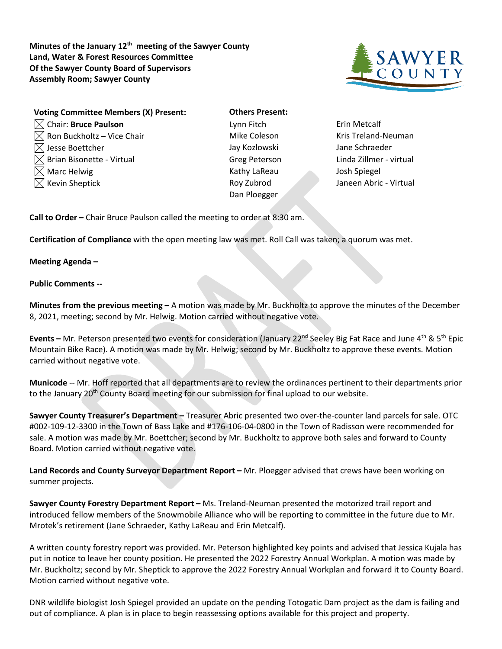**Minutes of the January 12th meeting of the Sawyer County Land, Water & Forest Resources Committee Of the Sawyer County Board of Supervisors Assembly Room; Sawyer County**



| <b>Voting Committee Members (X) Present:</b> | <b>Others Present:</b> |               |
|----------------------------------------------|------------------------|---------------|
| $\boxtimes$ Chair: Bruce Paulson             | Lynn Fitch             | Erin Metcalf  |
| $\boxtimes$ Ron Buckholtz – Vice Chair       | Mike Coleson           | Kris Treland- |
| $\boxtimes$ Jesse Boettcher                  | Jay Kozlowski          | Jane Schrae   |
| $\boxtimes$ Brian Bisonette - Virtual        | <b>Greg Peterson</b>   | Linda Zillme  |
| $\boxtimes$ Marc Helwig                      | Kathy LaReau           | Josh Spiegel  |
| $\boxtimes$ Kevin Sheptick                   | Roy Zubrod             | Janeen Abrio  |
|                                              | Dan Ploegger           |               |

**Others Present:** Jay Kozlowski Jane Schraeder Kathy LaReau Josh Spiegel Dan Ploegger

Mike Coleson **Kris Treland-Neuman** Greg Peterson Linda Zillmer - virtual Roy Zubrod Janeen Abric - Virtual

**Call to Order –** Chair Bruce Paulson called the meeting to order at 8:30 am.

**Certification of Compliance** with the open meeting law was met. Roll Call was taken; a quorum was met.

**Meeting Agenda –**

## **Public Comments --**

**Minutes from the previous meeting –** A motion was made by Mr. Buckholtz to approve the minutes of the December 8, 2021, meeting; second by Mr. Helwig. Motion carried without negative vote.

**Events –** Mr. Peterson presented two events for consideration (January 22<sup>nd</sup> Seeley Big Fat Race and June 4<sup>th</sup> & 5<sup>th</sup> Epic Mountain Bike Race). A motion was made by Mr. Helwig; second by Mr. Buckholtz to approve these events. Motion carried without negative vote.

**Municode** -- Mr. Hoff reported that all departments are to review the ordinances pertinent to their departments prior to the January 20<sup>th</sup> County Board meeting for our submission for final upload to our website.

**Sawyer County Treasurer's Department –** Treasurer Abric presented two over-the-counter land parcels for sale. OTC #002-109-12-3300 in the Town of Bass Lake and #176-106-04-0800 in the Town of Radisson were recommended for sale. A motion was made by Mr. Boettcher; second by Mr. Buckholtz to approve both sales and forward to County Board. Motion carried without negative vote.

**Land Records and County Surveyor Department Report –** Mr. Ploegger advised that crews have been working on summer projects.

**Sawyer County Forestry Department Report –** Ms. Treland-Neuman presented the motorized trail report and introduced fellow members of the Snowmobile Alliance who will be reporting to committee in the future due to Mr. Mrotek's retirement (Jane Schraeder, Kathy LaReau and Erin Metcalf).

A written county forestry report was provided. Mr. Peterson highlighted key points and advised that Jessica Kujala has put in notice to leave her county position. He presented the 2022 Forestry Annual Workplan. A motion was made by Mr. Buckholtz; second by Mr. Sheptick to approve the 2022 Forestry Annual Workplan and forward it to County Board. Motion carried without negative vote.

DNR wildlife biologist Josh Spiegel provided an update on the pending Totogatic Dam project as the dam is failing and out of compliance. A plan is in place to begin reassessing options available for this project and property.